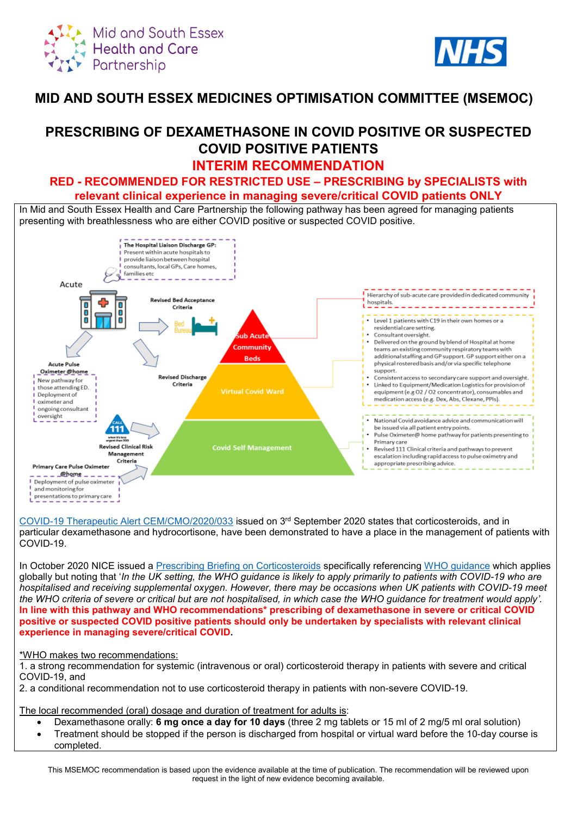



## **MID AND SOUTH ESSEX MEDICINES OPTIMISATION COMMITTEE (MSEMOC)**

# **PRESCRIBING OF DEXAMETHASONE IN COVID POSITIVE OR SUSPECTED COVID POSITIVE PATIENTS**

## **INTERIM RECOMMENDATION**

### **RED - RECOMMENDED FOR RESTRICTED USE – PRESCRIBING by SPECIALISTS with relevant clinical experience in managing severe/critical COVID patients ONLY**

In Mid and South Essex Health and Care Partnership the following pathway has been agreed for managing patients presenting with breathlessness who are either COVID positive or suspected COVID positive.



[COVID-19 Therapeutic Alert CEM/CMO/2020/033](https://www.cas.mhra.gov.uk/ViewandAcknowledgment/ViewAlert.aspx?AlertID=103092) issued on 3rd September 2020 states that corticosteroids, and in particular dexamethasone and hydrocortisone, have been demonstrated to have a place in the management of patients with COVID-19.

In October 2020 NICE issued a [Prescribing Briefing on Corticosteroids](https://www.nice.org.uk/guidance/ng159/resources/covid19-prescribing-briefing-corticosteroids-pdf-8839913581) specifically referencing [WHO guidance](https://www.who.int/publications/i/item/WHO-2019-nCoV-Corticosteroids-2020.1) which applies globally but noting that '*In the UK setting, the WHO guidance is likely to apply primarily to patients with COVID-19 who are hospitalised and receiving supplemental oxygen. However, there may be occasions when UK patients with COVID-19 meet the WHO criteria of severe or critical but are not hospitalised, in which case the WHO guidance for treatment would apply'.* **In line with this pathway and WHO recommendations\* prescribing of dexamethasone in severe or critical COVID positive or suspected COVID positive patients should only be undertaken by specialists with relevant clinical experience in managing severe/critical COVID.**

### \*WHO makes two recommendations:

1. a strong recommendation for systemic (intravenous or oral) corticosteroid therapy in patients with severe and critical COVID-19, and

2. a conditional recommendation not to use corticosteroid therapy in patients with non-severe COVID-19.

The local recommended (oral) dosage and duration of treatment for adults is:

- Dexamethasone orally: **6 mg once a day for 10 days** (three 2 mg tablets or 15 ml of 2 mg/5 ml oral solution)
- Treatment should be stopped if the person is discharged from hospital or virtual ward before the 10-day course is completed.

This MSEMOC recommendation is based upon the evidence available at the time of publication. The recommendation will be reviewed upon request in the light of new evidence becoming available.